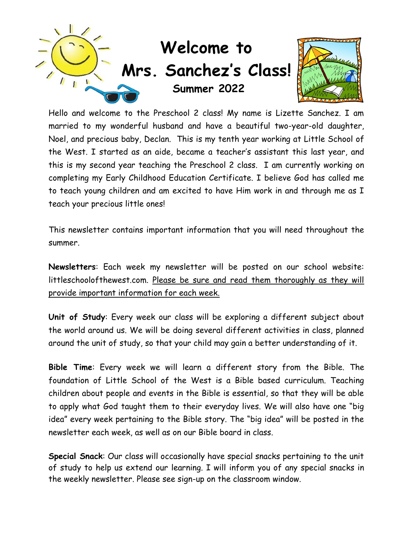

Hello and welcome to the Preschool 2 class! My name is Lizette Sanchez. I am married to my wonderful husband and have a beautiful two-year-old daughter, Noel, and precious baby, Declan. This is my tenth year working at Little School of the West. I started as an aide, became a teacher's assistant this last year, and this is my second year teaching the Preschool 2 class. I am currently working on completing my Early Childhood Education Certificate. I believe God has called me to teach young children and am excited to have Him work in and through me as I teach your precious little ones!

This newsletter contains important information that you will need throughout the summer.

**Newsletters**: Each week my newsletter will be posted on our school website: littleschoolofthewest.com. Please be sure and read them thoroughly as they will provide important information for each week.

**Unit of Study**: Every week our class will be exploring a different subject about the world around us. We will be doing several different activities in class, planned around the unit of study, so that your child may gain a better understanding of it.

**Bible Time**: Every week we will learn a different story from the Bible. The foundation of Little School of the West is a Bible based curriculum. Teaching children about people and events in the Bible is essential, so that they will be able to apply what God taught them to their everyday lives. We will also have one "big idea" every week pertaining to the Bible story. The "big idea" will be posted in the newsletter each week, as well as on our Bible board in class.

**Special Snack**: Our class will occasionally have special snacks pertaining to the unit of study to help us extend our learning. I will inform you of any special snacks in the weekly newsletter. Please see sign-up on the classroom window.